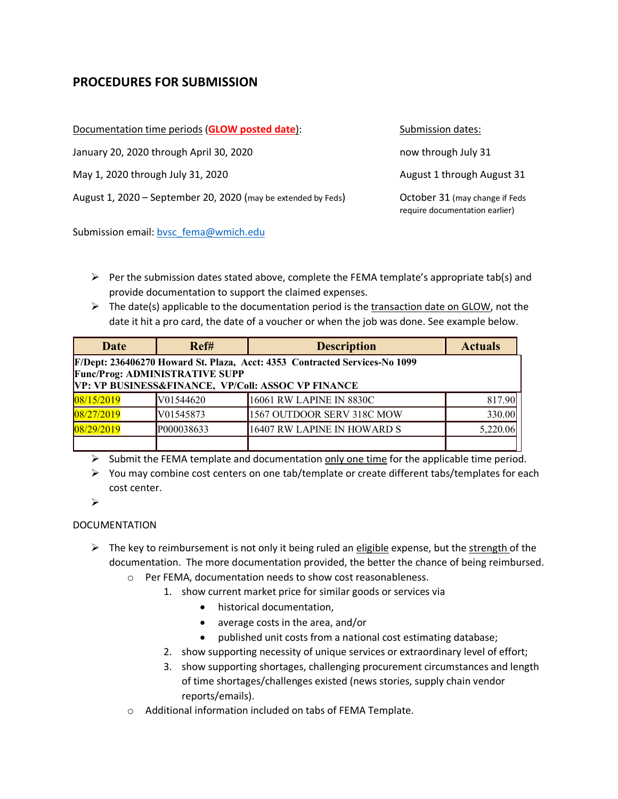## **PROCEDURES FOR SUBMISSION**

| Documentation time periods (GLOW posted date):                | Submission dates:                                                |
|---------------------------------------------------------------|------------------------------------------------------------------|
| January 20, 2020 through April 30, 2020                       | now through July 31                                              |
| May 1, 2020 through July 31, 2020                             | August 1 through August 31                                       |
| August 1, 2020 - September 20, 2020 (may be extended by Feds) | October 31 (may change if Feds<br>require documentation earlier) |

Submission email: bvsc\_fema@wmich.edu

- $\triangleright$  Per the submission dates stated above, complete the FEMA template's appropriate tab(s) and provide documentation to support the claimed expenses.
- $\triangleright$  The date(s) applicable to the documentation period is the transaction date on GLOW, not the date it hit a pro card, the date of a voucher or when the job was done. See example below.

| <b>Date</b>                                                                                                         | Ref#       | <b>Description</b>          | <b>Actuals</b> |
|---------------------------------------------------------------------------------------------------------------------|------------|-----------------------------|----------------|
| F/Dept: 236406270 Howard St. Plaza, Acct: 4353 Contracted Services-No 1099<br><b>Func/Prog: ADMINISTRATIVE SUPP</b> |            |                             |                |
| VP: VP BUSINESS&FINANCE, VP/Coll: ASSOC VP FINANCE                                                                  |            |                             |                |
| 08/15/2019                                                                                                          | V01544620  | 16061 RW LAPINE IN 8830C    | 817.90         |
| 08/27/2019                                                                                                          | V01545873  | 1567 OUTDOOR SERV 318C MOW  | 330.00         |
| 08/29/2019                                                                                                          | P000038633 | 16407 RW LAPINE IN HOWARD S | 5,220.06       |
|                                                                                                                     |            |                             |                |

- $\triangleright$  Submit the FEMA template and documentation only one time for the applicable time period.
- $\triangleright$  You may combine cost centers on one tab/template or create different tabs/templates for each cost center.

Ø

## DOCUMENTATION

- $\triangleright$  The key to reimbursement is not only it being ruled an eligible expense, but the strength of the documentation. The more documentation provided, the better the chance of being reimbursed.
	- o Per FEMA, documentation needs to show cost reasonableness.
		- 1. show current market price for similar goods or services via
			- historical documentation,
			- average costs in the area, and/or
			- published unit costs from a national cost estimating database;
		- 2. show supporting necessity of unique services or extraordinary level of effort;
		- 3. show supporting shortages, challenging procurement circumstances and length of time shortages/challenges existed (news stories, supply chain vendor reports/emails).
	- o Additional information included on tabs of FEMA Template.